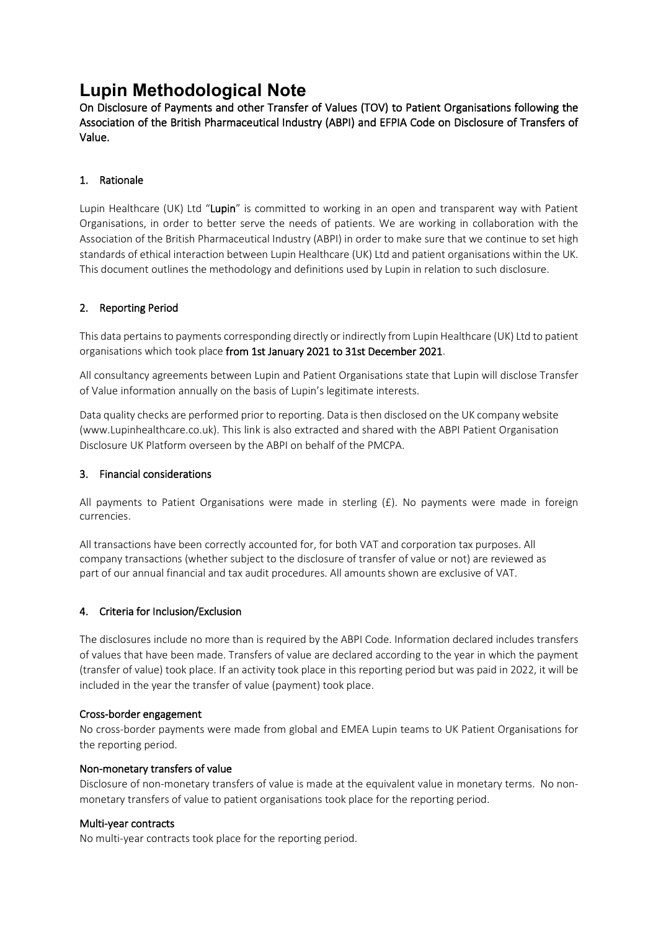# **Lupin Methodological Note**

On Disclosure of Payments and other Transfer of Values (TOV) to Patient Organisations following the Association of the British Pharmaceutical Industry (ABPI) and EFPIA Code on Disclosure of Transfers of Value.

## 1. Rationale

Lupin Healthcare (UK) Ltd "Lupin" is committed to working in an open and transparent way with Patient Organisations, in order to better serve the needs of patients. We are working in collaboration with the Association of the British Pharmaceutical Industry (ABPI) in order to make sure that we continue to set high standards of ethical interaction between Lupin Healthcare (UK) Ltd and patient organisations within the UK. This document outlines the methodology and definitions used by Lupin in relation to such disclosure.

## 2. Reporting Period

This data pertains to payments corresponding directly or indirectly from Lupin Healthcare (UK) Ltd to patient organisations which took place from 1st January 2021 to 31st December 2021.

All consultancy agreements between Lupin and Patient Organisations state that Lupin will disclose Transfer of Value information annually on the basis of Lupin's legitimate interests.

Data quality checks are performed prior to reporting. Data is then disclosed on the UK company website (www.Lupinhealthcare.co.uk). This link is also extracted and shared with the ABPI Patient Organisation Disclosure UK Platform overseen by the ABPI on behalf of the PMCPA.

## 3. Financial considerations

All payments to Patient Organisations were made in sterling (£). No payments were made in foreign currencies.

All transactions have been correctly accounted for, for both VAT and corporation tax purposes. All company transactions (whether subject to the disclosure of transfer of value or not) are reviewed as part of our annual financial and tax audit procedures. All amounts shown are exclusive of VAT.

## 4. Criteria for Inclusion/Exclusion

The disclosures include no more than is required by the ABPI Code. Information declared includes transfers of values that have been made. Transfers of value are declared according to the year in which the payment (transfer of value) took place. If an activity took place in this reporting period but was paid in 2022, it will be included in the year the transfer of value (payment) took place.

#### Cross-border engagement

No cross-border payments were made from global and EMEA Lupin teams to UK Patient Organisations for the reporting period.

#### Non-monetary transfers of value

Disclosure of non-monetary transfers of value is made at the equivalent value in monetary terms. No nonmonetary transfers of value to patient organisations took place for the reporting period.

#### Multi-year contracts

No multi-year contracts took place for the reporting period.